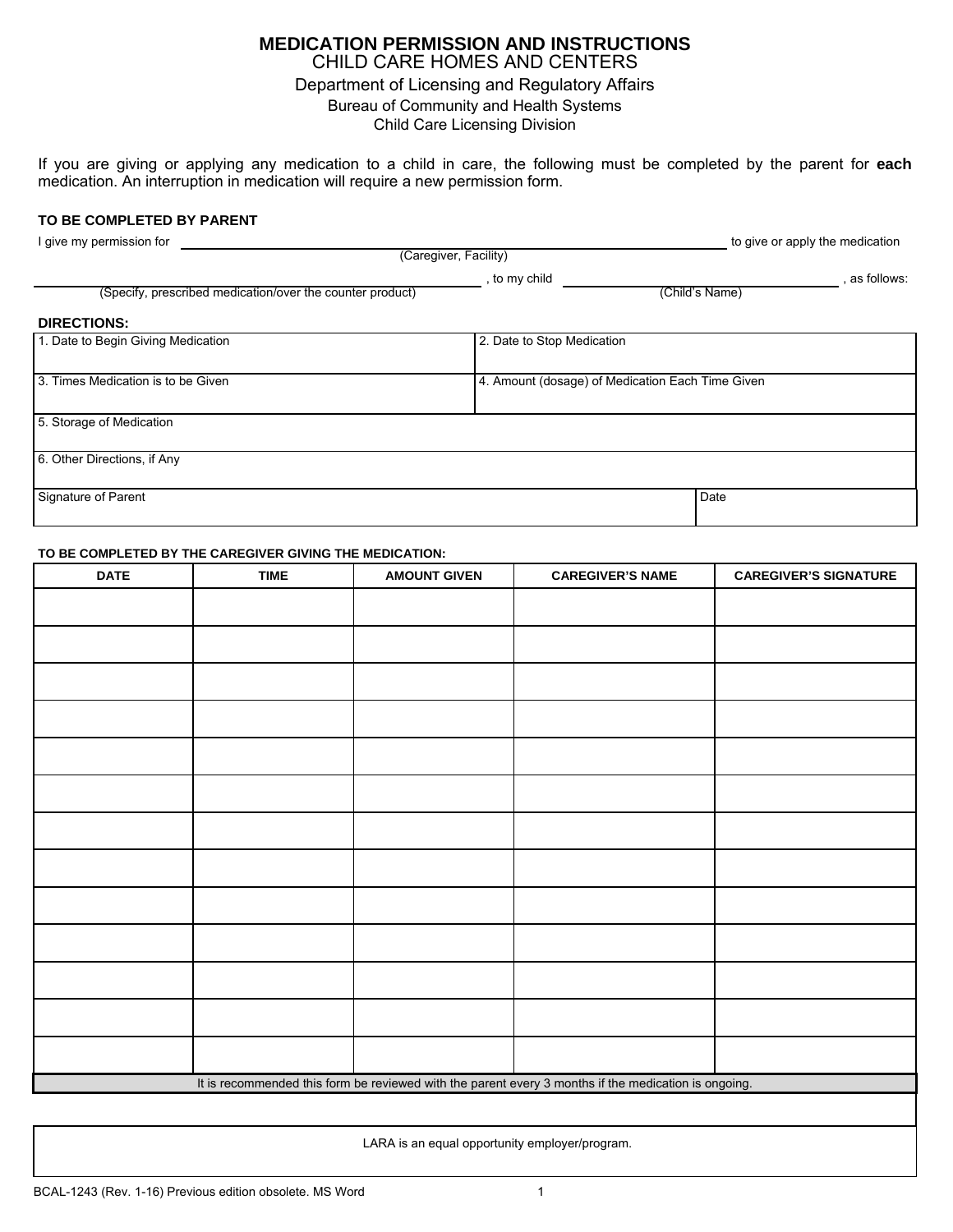## **MEDICATION PERMISSION AND INSTRUCTIONS**  CHILD CARE HOMES AND CENTERS Department of Licensing and Regulatory Affairs Bureau of Community and Health Systems Child Care Licensing Division

If you are giving or applying any medication to a child in care, the following must be completed by the parent for **each** medication. An interruption in medication will require a new permission form.

## **TO BE COMPLETED BY PARENT**

| I give my permission for                                  |                                                  | to give or apply the medication |               |  |  |  |
|-----------------------------------------------------------|--------------------------------------------------|---------------------------------|---------------|--|--|--|
| (Caregiver, Facility)                                     |                                                  |                                 |               |  |  |  |
| (Specify, prescribed medication/over the counter product) | , to my child                                    | (Child's Name)                  | , as follows: |  |  |  |
| <b>DIRECTIONS:</b>                                        |                                                  |                                 |               |  |  |  |
| 1. Date to Begin Giving Medication                        | 2. Date to Stop Medication                       |                                 |               |  |  |  |
| 3. Times Medication is to be Given                        | 4. Amount (dosage) of Medication Each Time Given |                                 |               |  |  |  |
| 5. Storage of Medication                                  |                                                  |                                 |               |  |  |  |
| 6. Other Directions, if Any                               |                                                  |                                 |               |  |  |  |
| Signature of Parent                                       |                                                  | Date                            |               |  |  |  |

## **TO BE COMPLETED BY THE CAREGIVER GIVING THE MEDICATION:**

| <b>DATE</b>                                                                                          | <b>TIME</b> | <b>AMOUNT GIVEN</b> | <b>CAREGIVER'S NAME</b> | <b>CAREGIVER'S SIGNATURE</b> |  |
|------------------------------------------------------------------------------------------------------|-------------|---------------------|-------------------------|------------------------------|--|
|                                                                                                      |             |                     |                         |                              |  |
|                                                                                                      |             |                     |                         |                              |  |
|                                                                                                      |             |                     |                         |                              |  |
|                                                                                                      |             |                     |                         |                              |  |
|                                                                                                      |             |                     |                         |                              |  |
|                                                                                                      |             |                     |                         |                              |  |
|                                                                                                      |             |                     |                         |                              |  |
|                                                                                                      |             |                     |                         |                              |  |
|                                                                                                      |             |                     |                         |                              |  |
|                                                                                                      |             |                     |                         |                              |  |
|                                                                                                      |             |                     |                         |                              |  |
|                                                                                                      |             |                     |                         |                              |  |
|                                                                                                      |             |                     |                         |                              |  |
| It is recommended this form be reviewed with the parent every 3 months if the medication is ongoing. |             |                     |                         |                              |  |
|                                                                                                      |             |                     |                         |                              |  |

LARA is an equal opportunity employer/program.